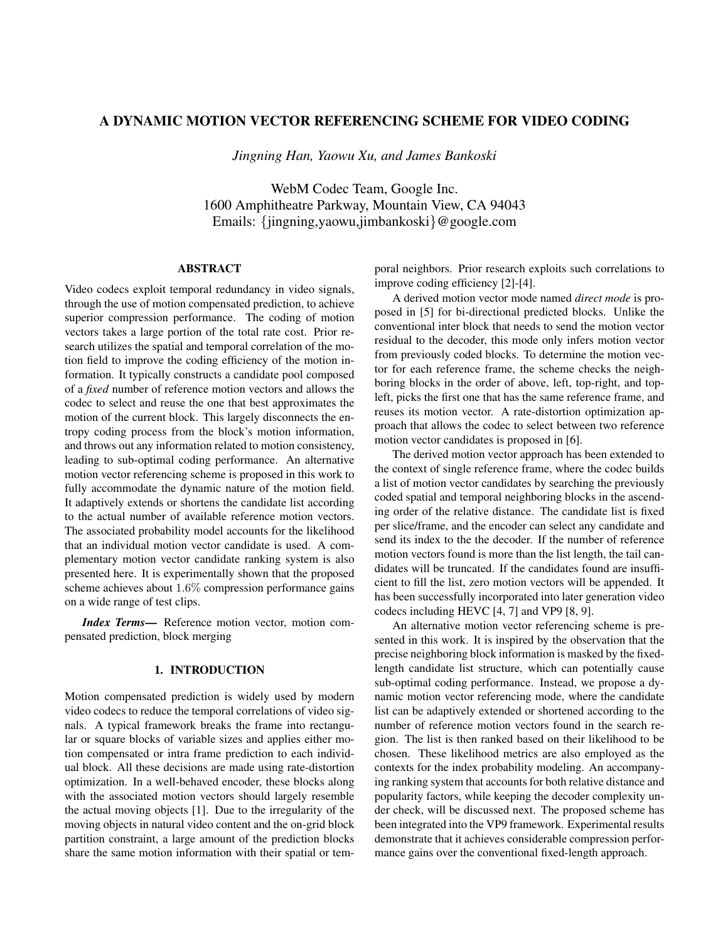# A DYNAMIC MOTION VECTOR REFERENCING SCHEME FOR VIDEO CODING

*Jingning Han, Yaowu Xu, and James Bankoski*

WebM Codec Team, Google Inc. 1600 Amphitheatre Parkway, Mountain View, CA 94043 Emails: {jingning,yaowu,jimbankoski}@google.com

# ABSTRACT

Video codecs exploit temporal redundancy in video signals, through the use of motion compensated prediction, to achieve superior compression performance. The coding of motion vectors takes a large portion of the total rate cost. Prior research utilizes the spatial and temporal correlation of the motion field to improve the coding efficiency of the motion information. It typically constructs a candidate pool composed of a *fixed* number of reference motion vectors and allows the codec to select and reuse the one that best approximates the motion of the current block. This largely disconnects the entropy coding process from the block's motion information, and throws out any information related to motion consistency, leading to sub-optimal coding performance. An alternative motion vector referencing scheme is proposed in this work to fully accommodate the dynamic nature of the motion field. It adaptively extends or shortens the candidate list according to the actual number of available reference motion vectors. The associated probability model accounts for the likelihood that an individual motion vector candidate is used. A complementary motion vector candidate ranking system is also presented here. It is experimentally shown that the proposed scheme achieves about 1.6% compression performance gains on a wide range of test clips.

*Index Terms*— Reference motion vector, motion compensated prediction, block merging

## 1. INTRODUCTION

Motion compensated prediction is widely used by modern video codecs to reduce the temporal correlations of video signals. A typical framework breaks the frame into rectangular or square blocks of variable sizes and applies either motion compensated or intra frame prediction to each individual block. All these decisions are made using rate-distortion optimization. In a well-behaved encoder, these blocks along with the associated motion vectors should largely resemble the actual moving objects [1]. Due to the irregularity of the moving objects in natural video content and the on-grid block partition constraint, a large amount of the prediction blocks share the same motion information with their spatial or temporal neighbors. Prior research exploits such correlations to improve coding efficiency [2]-[4].

A derived motion vector mode named *direct mode* is proposed in [5] for bi-directional predicted blocks. Unlike the conventional inter block that needs to send the motion vector residual to the decoder, this mode only infers motion vector from previously coded blocks. To determine the motion vector for each reference frame, the scheme checks the neighboring blocks in the order of above, left, top-right, and topleft, picks the first one that has the same reference frame, and reuses its motion vector. A rate-distortion optimization approach that allows the codec to select between two reference motion vector candidates is proposed in [6].

The derived motion vector approach has been extended to the context of single reference frame, where the codec builds a list of motion vector candidates by searching the previously coded spatial and temporal neighboring blocks in the ascending order of the relative distance. The candidate list is fixed per slice/frame, and the encoder can select any candidate and send its index to the the decoder. If the number of reference motion vectors found is more than the list length, the tail candidates will be truncated. If the candidates found are insufficient to fill the list, zero motion vectors will be appended. It has been successfully incorporated into later generation video codecs including HEVC [4, 7] and VP9 [8, 9].

An alternative motion vector referencing scheme is presented in this work. It is inspired by the observation that the precise neighboring block information is masked by the fixedlength candidate list structure, which can potentially cause sub-optimal coding performance. Instead, we propose a dynamic motion vector referencing mode, where the candidate list can be adaptively extended or shortened according to the number of reference motion vectors found in the search region. The list is then ranked based on their likelihood to be chosen. These likelihood metrics are also employed as the contexts for the index probability modeling. An accompanying ranking system that accounts for both relative distance and popularity factors, while keeping the decoder complexity under check, will be discussed next. The proposed scheme has been integrated into the VP9 framework. Experimental results demonstrate that it achieves considerable compression performance gains over the conventional fixed-length approach.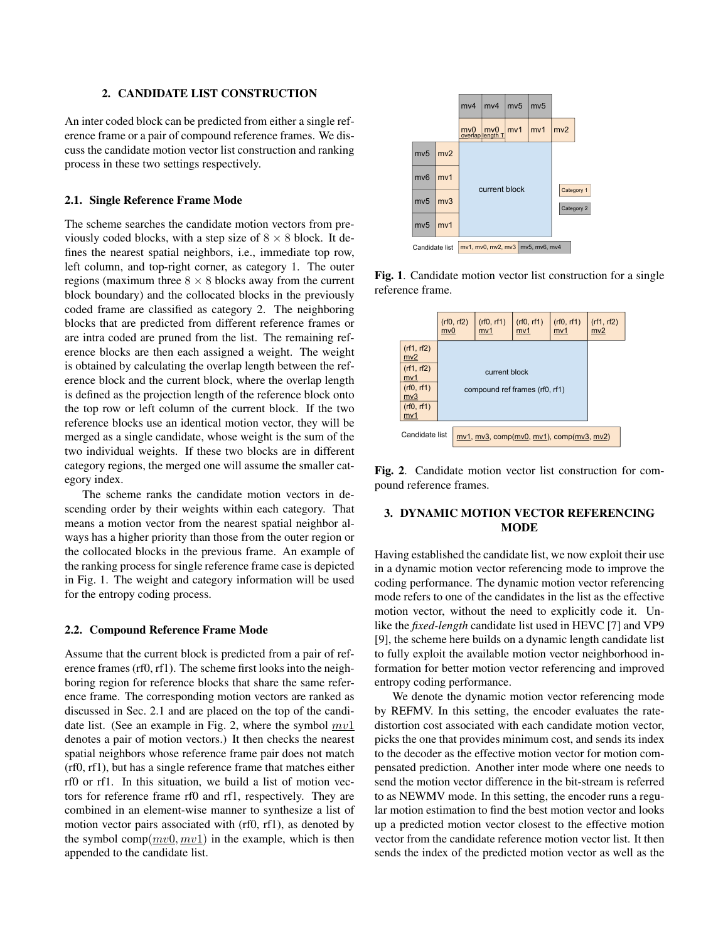## 2. CANDIDATE LIST CONSTRUCTION

An inter coded block can be predicted from either a single reference frame or a pair of compound reference frames. We discuss the candidate motion vector list construction and ranking process in these two settings respectively.

#### 2.1. Single Reference Frame Mode

The scheme searches the candidate motion vectors from previously coded blocks, with a step size of  $8 \times 8$  block. It defines the nearest spatial neighbors, i.e., immediate top row, left column, and top-right corner, as category 1. The outer regions (maximum three  $8 \times 8$  blocks away from the current block boundary) and the collocated blocks in the previously coded frame are classified as category 2. The neighboring blocks that are predicted from different reference frames or are intra coded are pruned from the list. The remaining reference blocks are then each assigned a weight. The weight is obtained by calculating the overlap length between the reference block and the current block, where the overlap length is defined as the projection length of the reference block onto the top row or left column of the current block. If the two reference blocks use an identical motion vector, they will be merged as a single candidate, whose weight is the sum of the two individual weights. If these two blocks are in different category regions, the merged one will assume the smaller category index.

The scheme ranks the candidate motion vectors in descending order by their weights within each category. That means a motion vector from the nearest spatial neighbor always has a higher priority than those from the outer region or the collocated blocks in the previous frame. An example of the ranking process for single reference frame case is depicted in Fig. 1. The weight and category information will be used for the entropy coding process.

## 2.2. Compound Reference Frame Mode

Assume that the current block is predicted from a pair of reference frames (rf0, rf1). The scheme first looks into the neighboring region for reference blocks that share the same reference frame. The corresponding motion vectors are ranked as discussed in Sec. 2.1 and are placed on the top of the candidate list. (See an example in Fig. 2, where the symbol  $mv1$ denotes a pair of motion vectors.) It then checks the nearest spatial neighbors whose reference frame pair does not match (rf0, rf1), but has a single reference frame that matches either rf0 or rf1. In this situation, we build a list of motion vectors for reference frame rf0 and rf1, respectively. They are combined in an element-wise manner to synthesize a list of motion vector pairs associated with (rf0, rf1), as denoted by the symbol comp( $mv0, mv1$ ) in the example, which is then appended to the candidate list.



Fig. 1. Candidate motion vector list construction for a single reference frame.



Fig. 2. Candidate motion vector list construction for compound reference frames.

## 3. DYNAMIC MOTION VECTOR REFERENCING **MODE**

Having established the candidate list, we now exploit their use in a dynamic motion vector referencing mode to improve the coding performance. The dynamic motion vector referencing mode refers to one of the candidates in the list as the effective motion vector, without the need to explicitly code it. Unlike the *fixed-length* candidate list used in HEVC [7] and VP9 [9], the scheme here builds on a dynamic length candidate list to fully exploit the available motion vector neighborhood information for better motion vector referencing and improved entropy coding performance.

We denote the dynamic motion vector referencing mode by REFMV. In this setting, the encoder evaluates the ratedistortion cost associated with each candidate motion vector, picks the one that provides minimum cost, and sends its index to the decoder as the effective motion vector for motion compensated prediction. Another inter mode where one needs to send the motion vector difference in the bit-stream is referred to as NEWMV mode. In this setting, the encoder runs a regular motion estimation to find the best motion vector and looks up a predicted motion vector closest to the effective motion vector from the candidate reference motion vector list. It then sends the index of the predicted motion vector as well as the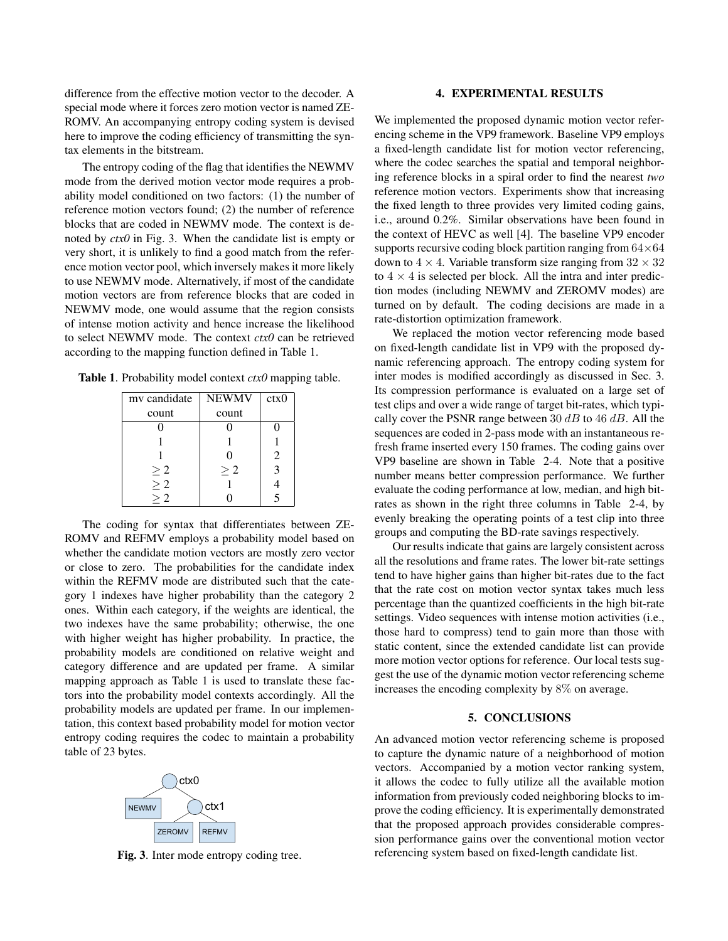difference from the effective motion vector to the decoder. A special mode where it forces zero motion vector is named ZE-ROMV. An accompanying entropy coding system is devised here to improve the coding efficiency of transmitting the syntax elements in the bitstream.

The entropy coding of the flag that identifies the NEWMV mode from the derived motion vector mode requires a probability model conditioned on two factors: (1) the number of reference motion vectors found; (2) the number of reference blocks that are coded in NEWMV mode. The context is denoted by *ctx0* in Fig. 3. When the candidate list is empty or very short, it is unlikely to find a good match from the reference motion vector pool, which inversely makes it more likely to use NEWMV mode. Alternatively, if most of the candidate motion vectors are from reference blocks that are coded in NEWMV mode, one would assume that the region consists of intense motion activity and hence increase the likelihood to select NEWMV mode. The context *ctx0* can be retrieved according to the mapping function defined in Table 1.

Table 1. Probability model context *ctx0* mapping table.

| my candidate         | <b>NEWMV</b> | ctx0 |
|----------------------|--------------|------|
| count                | count        |      |
|                      |              |      |
|                      |              |      |
|                      |              | 2    |
|                      | >2           |      |
| $\geq 2$<br>$\geq 2$ |              |      |
| $>$ 2.               |              |      |

The coding for syntax that differentiates between ZE-ROMV and REFMV employs a probability model based on whether the candidate motion vectors are mostly zero vector or close to zero. The probabilities for the candidate index within the REFMV mode are distributed such that the category 1 indexes have higher probability than the category 2 ones. Within each category, if the weights are identical, the two indexes have the same probability; otherwise, the one with higher weight has higher probability. In practice, the probability models are conditioned on relative weight and category difference and are updated per frame. A similar mapping approach as Table 1 is used to translate these factors into the probability model contexts accordingly. All the probability models are updated per frame. In our implementation, this context based probability model for motion vector entropy coding requires the codec to maintain a probability table of 23 bytes.



Fig. 3. Inter mode entropy coding tree.

#### 4. EXPERIMENTAL RESULTS

We implemented the proposed dynamic motion vector referencing scheme in the VP9 framework. Baseline VP9 employs a fixed-length candidate list for motion vector referencing, where the codec searches the spatial and temporal neighboring reference blocks in a spiral order to find the nearest *two* reference motion vectors. Experiments show that increasing the fixed length to three provides very limited coding gains, i.e., around 0.2%. Similar observations have been found in the context of HEVC as well [4]. The baseline VP9 encoder supports recursive coding block partition ranging from  $64\times64$ down to  $4 \times 4$ . Variable transform size ranging from  $32 \times 32$ to  $4 \times 4$  is selected per block. All the intra and inter prediction modes (including NEWMV and ZEROMV modes) are turned on by default. The coding decisions are made in a rate-distortion optimization framework.

We replaced the motion vector referencing mode based on fixed-length candidate list in VP9 with the proposed dynamic referencing approach. The entropy coding system for inter modes is modified accordingly as discussed in Sec. 3. Its compression performance is evaluated on a large set of test clips and over a wide range of target bit-rates, which typically cover the PSNR range between 30  $dB$  to 46  $dB$ . All the sequences are coded in 2-pass mode with an instantaneous refresh frame inserted every 150 frames. The coding gains over VP9 baseline are shown in Table 2-4. Note that a positive number means better compression performance. We further evaluate the coding performance at low, median, and high bitrates as shown in the right three columns in Table 2-4, by evenly breaking the operating points of a test clip into three groups and computing the BD-rate savings respectively.

Our results indicate that gains are largely consistent across all the resolutions and frame rates. The lower bit-rate settings tend to have higher gains than higher bit-rates due to the fact that the rate cost on motion vector syntax takes much less percentage than the quantized coefficients in the high bit-rate settings. Video sequences with intense motion activities (i.e., those hard to compress) tend to gain more than those with static content, since the extended candidate list can provide more motion vector options for reference. Our local tests suggest the use of the dynamic motion vector referencing scheme increases the encoding complexity by 8% on average.

#### 5. CONCLUSIONS

An advanced motion vector referencing scheme is proposed to capture the dynamic nature of a neighborhood of motion vectors. Accompanied by a motion vector ranking system, it allows the codec to fully utilize all the available motion information from previously coded neighboring blocks to improve the coding efficiency. It is experimentally demonstrated that the proposed approach provides considerable compression performance gains over the conventional motion vector referencing system based on fixed-length candidate list.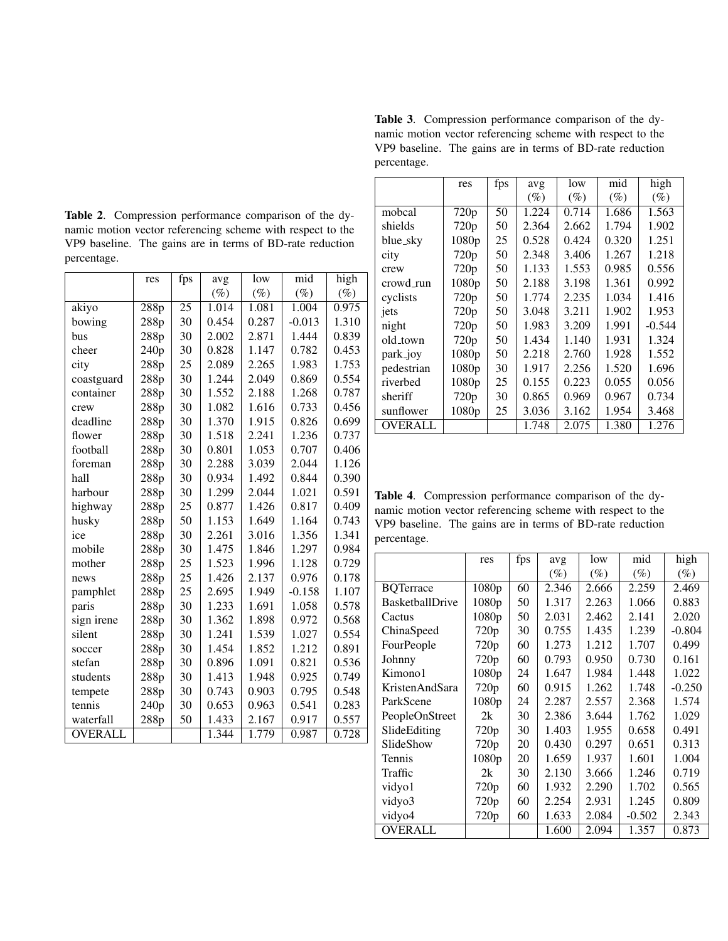Table 2. Compression performance comparison of the dynamic motion vector referencing scheme with respect to the VP9 baseline. The gains are in terms of BD-rate reduction percentage.

|                | res  | fps | avg    | low    | mid      | high               |
|----------------|------|-----|--------|--------|----------|--------------------|
|                |      |     | $(\%)$ | $(\%)$ | $(\%)$   | $(\%)$             |
| akiyo          | 288p | 25  | 1.014  | 1.081  | 1.004    | 0.975              |
| bowing         | 288p | 30  | 0.454  | 0.287  | $-0.013$ | 1.310              |
| bus            | 288p | 30  | 2.002  | 2.871  | 1.444    | 0.839              |
| cheer          | 240p | 30  | 0.828  | 1.147  | 0.782    | 0.453              |
| city           | 288p | 25  | 2.089  | 2.265  | 1.983    | 1.753              |
| coastguard     | 288p | 30  | 1.244  | 2.049  | 0.869    | 0.554              |
| container      | 288p | 30  | 1.552  | 2.188  | 1.268    | 0.787              |
| crew           | 288p | 30  | 1.082  | 1.616  | 0.733    | 0.456              |
| deadline       | 288p | 30  | 1.370  | 1.915  | 0.826    | 0.699              |
| flower         | 288p | 30  | 1.518  | 2.241  | 1.236    | 0.737              |
| football       | 288p | 30  | 0.801  | 1.053  | 0.707    | 0.406              |
| foreman        | 288p | 30  | 2.288  | 3.039  | 2.044    | 1.126              |
| hall           | 288p | 30  | 0.934  | 1.492  | 0.844    | 0.390              |
| harbour        | 288p | 30  | 1.299  | 2.044  | 1.021    | 0.591              |
| highway        | 288p | 25  | 0.877  | 1.426  | 0.817    | 0.409              |
| husky          | 288p | 50  | 1.153  | 1.649  | 1.164    | 0.743              |
| ice            | 288p | 30  | 2.261  | 3.016  | 1.356    | 1.341              |
| mobile         | 288p | 30  | 1.475  | 1.846  | 1.297    | 0.984              |
| mother         | 288p | 25  | 1.523  | 1.996  | 1.128    | 0.729              |
| news           | 288p | 25  | 1.426  | 2.137  | 0.976    | 0.178              |
| pamphlet       | 288p | 25  | 2.695  | 1.949  | $-0.158$ | 1.107              |
| paris          | 288p | 30  | 1.233  | 1.691  | 1.058    | 0.578              |
| sign irene     | 288p | 30  | 1.362  | 1.898  | 0.972    | 0.568              |
| silent         | 288p | 30  | 1.241  | 1.539  | 1.027    | 0.554              |
| soccer         | 288p | 30  | 1.454  | 1.852  | 1.212    | 0.891              |
| stefan         | 288p | 30  | 0.896  | 1.091  | 0.821    | 0.536              |
| students       | 288p | 30  | 1.413  | 1.948  | 0.925    | 0.749              |
| tempete        | 288p | 30  | 0.743  | 0.903  | 0.795    | 0.548              |
| tennis         | 240p | 30  | 0.653  | 0.963  | 0.541    | 0.283              |
| waterfall      | 288p | 50  | 1.433  | 2.167  | 0.917    | 0.557              |
| <b>OVERALL</b> |      |     | 1.344  | 1.779  | 0.987    | $\overline{0.728}$ |

Table 3. Compression performance comparison of the dynamic motion vector referencing scheme with respect to the VP9 baseline. The gains are in terms of BD-rate reduction percentage.

|                | res               | fps | avg   | low   | mid    | high     |
|----------------|-------------------|-----|-------|-------|--------|----------|
|                |                   |     | (%)   | (%)   | $(\%)$ | (%)      |
| mobcal         | 720 <sub>p</sub>  | 50  | 1.224 | 0.714 | 1.686  | 1.563    |
| shields        | 720p              | 50  | 2.364 | 2.662 | 1.794  | 1.902    |
| blue_sky       | 1080p             | 25  | 0.528 | 0.424 | 0.320  | 1.251    |
| city           | 720p              | 50  | 2.348 | 3.406 | 1.267  | 1.218    |
| crew           | 720p              | 50  | 1.133 | 1.553 | 0.985  | 0.556    |
| crowd_run      | 1080p             | 50  | 2.188 | 3.198 | 1.361  | 0.992    |
| cyclists       | 720p              | 50  | 1.774 | 2.235 | 1.034  | 1.416    |
| jets           | 720p              | 50  | 3.048 | 3.211 | 1.902  | 1.953    |
| night          | 720p              | 50  | 1.983 | 3.209 | 1.991  | $-0.544$ |
| old_town       | 720p              | 50  | 1.434 | 1.140 | 1.931  | 1.324    |
| park_joy       | 1080p             | 50  | 2.218 | 2.760 | 1.928  | 1.552    |
| pedestrian     | 1080p             | 30  | 1.917 | 2.256 | 1.520  | 1.696    |
| riverbed       | 1080p             | 25  | 0.155 | 0.223 | 0.055  | 0.056    |
| sheriff        | 720p              | 30  | 0.865 | 0.969 | 0.967  | 0.734    |
| sunflower      | 1080 <sub>p</sub> | 25  | 3.036 | 3.162 | 1.954  | 3.468    |
| <b>OVERALL</b> |                   |     | 1.748 | 2.075 | 1.380  | 1.276    |

Table 4. Compression performance comparison of the dynamic motion vector referencing scheme with respect to the VP9 baseline. The gains are in terms of BD-rate reduction percentage.

|                        | res              | fps | avg    | low    | mid      | high     |
|------------------------|------------------|-----|--------|--------|----------|----------|
|                        |                  |     | $(\%)$ | $(\%)$ | $(\%)$   | $(\%)$   |
| <b>BQTerrace</b>       | 1080p            | 60  | 2.346  | 2.666  | 2.259    | 2.469    |
| <b>BasketballDrive</b> | 1080p            | 50  | 1.317  | 2.263  | 1.066    | 0.883    |
| Cactus                 | 1080p            | 50  | 2.031  | 2.462  | 2.141    | 2.020    |
| ChinaSpeed             | 720 <sub>p</sub> | 30  | 0.755  | 1.435  | 1.239    | $-0.804$ |
| FourPeople             | 720 <sub>p</sub> | 60  | 1.273  | 1.212  | 1.707    | 0.499    |
| Johnny                 | 720p             | 60  | 0.793  | 0.950  | 0.730    | 0.161    |
| Kimono1                | 1080p            | 24  | 1.647  | 1.984  | 1.448    | 1.022    |
| KristenAndSara         | 720p             | 60  | 0.915  | 1.262  | 1.748    | $-0.250$ |
| ParkScene              | 1080p            | 24  | 2.287  | 2.557  | 2.368    | 1.574    |
| PeopleOnStreet         | 2k               | 30  | 2.386  | 3.644  | 1.762    | 1.029    |
| SlideEditing           | 720 <sub>p</sub> | 30  | 1.403  | 1.955  | 0.658    | 0.491    |
| SlideShow              | 720 <sub>p</sub> | 20  | 0.430  | 0.297  | 0.651    | 0.313    |
| Tennis                 | 1080p            | 20  | 1.659  | 1.937  | 1.601    | 1.004    |
| Traffic                | 2k               | 30  | 2.130  | 3.666  | 1.246    | 0.719    |
| vidyo1                 | 720 <sub>p</sub> | 60  | 1.932  | 2.290  | 1.702    | 0.565    |
| vidyo3                 | 720 <sub>p</sub> | 60  | 2.254  | 2.931  | 1.245    | 0.809    |
| vidyo4                 | 720 <sub>p</sub> | 60  | 1.633  | 2.084  | $-0.502$ | 2.343    |
| <b>OVERALL</b>         |                  |     | 1.600  | 2.094  | 1.357    | 0.873    |